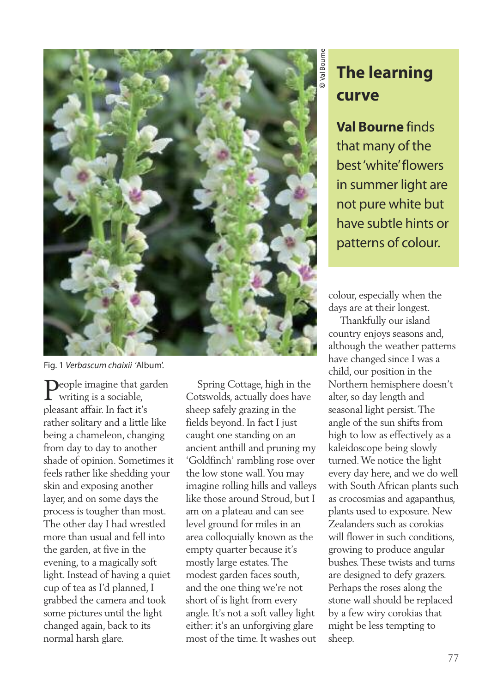

Fig. 1 *Verbascum chaixii* 'Album'.

**Deople imagine that garden** writing is a sociable, pleasant affair. In fact it's rather solitary and a little like being a chameleon, changing from day to day to another shade of opinion. Sometimes it feels rather like shedding your skin and exposing another layer, and on some days the process is tougher than most. The other day I had wrestled more than usual and fell into the garden, at five in the evening, to a magically soft light. Instead of having a quiet cup of tea as I'd planned, I grabbed the camera and took some pictures until the light changed again, back to its normal harsh glare.

Spring Cottage, high in the Cotswolds, actually does have sheep safely grazing in the fields beyond. In fact I just caught one standing on an ancient anthill and pruning my 'Goldfinch' rambling rose over the low stone wall.You may imagine rolling hills and valleys like those around Stroud, but I am on a plateau and can see level ground for miles in an area colloquially known as the empty quarter because it's mostly large estates.The modest garden faces south, and the one thing we're not short of is light from every angle. It's not a soft valley light either: it's an unforgiving glare most of the time. It washes out

## **The learning. curve**

**Val Bourne** finds that many of the best'white'flowers in summer light are not pure white but have subtle hints or patterns of colour.

colour, especially when the days are at their longest.

Thankfully our island country enjoys seasons and, although the weather patterns have changed since I was a child, our position in the Northern hemisphere doesn't alter, so day length and seasonal light persist.The angle of the sun shifts from high to low as effectively as a kaleidoscope being slowly turned.We notice the light every day here, and we do well with South African plants such as crocosmias and agapanthus, plants used to exposure. New Zealanders such as corokias will flower in such conditions. growing to produce angular bushes.These twists and turns are designed to defy grazers. Perhaps the roses along the stone wall should be replaced by a few wiry corokias that might be less tempting to sheep.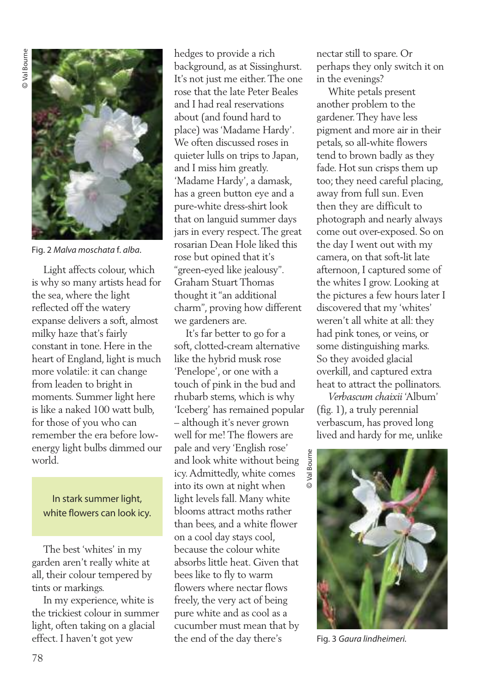

Fig. 2 *Malva moschata* f. *alba*.

Light affects colour, which is why so many artists head for the sea, where the light reflected off the watery expanse delivers a soft, almost milky haze that's fairly constant in tone. Here in the heart of England, light is much more volatile: it can change from leaden to bright in moments. Summer light here is like a naked 100 watt bulb, for those of you who can remember the era before lowenergy light bulbs dimmed our world.

In stark summer light, white flowers can look icy.

The best 'whites' in my garden aren't really white at all, their colour tempered by tints or markings.

In my experience, white is the trickiest colour in summer light, often taking on a glacial effect. I haven't got yew

hedges to provide a rich background, as at Sissinghurst. It's not just me either.The one rose that the late Peter Beales and I had real reservations about (and found hard to place) was'Madame Hardy'. We often discussed roses in quieter lulls on trips to Japan, and I miss him greatly. 'Madame Hardy', a damask, has a green button eye and a pure-white dress-shirt look that on languid summer days jars in every respect.The great rosarian Dean Hole liked this rose but opined that it's "green-eyed like jealousy". Graham Stuart Thomas thought it"an additional charm", proving how different we gardeners are.

It's far better to go for a soft, clotted-cream alternative like the hybrid musk rose 'Penelope', or one with a touch of pink in the bud and rhubarb stems, which is why 'Iceberg' has remained popular – although it's never grown well for me! The flowers are pale and very 'English rose' and look white without being icy.Admittedly, white comes into its own at night when light levels fall. Many white blooms attract moths rather than bees, and a white flower on a cool day stays cool, because the colour white absorbs little heat. Given that bees like to fly to warm flowers where nectar flows freely, the very act of being pure white and as cool as a cucumber must mean that by the end of the day there's

nectar still to spare. Or perhaps they only switch it on in the evenings?

White petals present another problem to the gardener.They have less pigment and more air in their petals, so all-white flowers tend to brown badly as they fade. Hot sun crisps them up too; they need careful placing, away from full sun. Even then they are difficult to photograph and nearly always come out over-exposed. So on the day I went out with my camera, on that soft-lit late afternoon, I captured some of the whites I grow. Looking at the pictures a few hours later I discovered that my 'whites' weren't all white at all: they had pink tones, or veins, or some distinguishing marks. So they avoided glacial overkill, and captured extra heat to attract the pollinators.

*Verbascum chaixii* 'Album' (fig. 1), a truly perennial verbascum, has proved long lived and hardy for me, unlike



Fig. 3 *Gaura lindheimeri.*